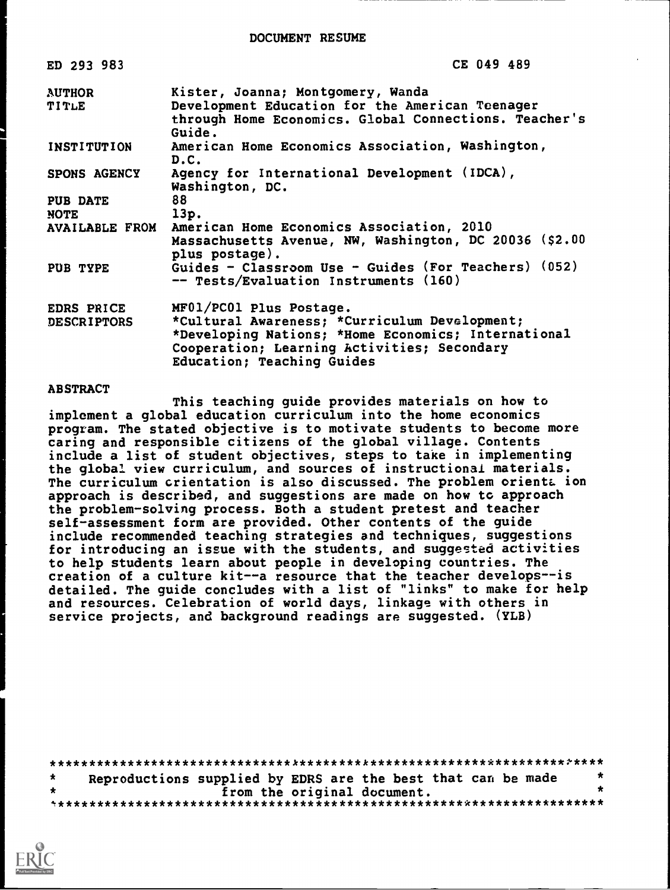DOCUMENT RESUME

| ED 293 983             | CE 049 489                                                                                                                                                                        |
|------------------------|-----------------------------------------------------------------------------------------------------------------------------------------------------------------------------------|
| <b>AUTHOR</b><br>TITLE | Kister, Joanna; Montgomery, Wanda<br>Development Education for the American Teenager<br>through Home Economics. Global Connections. Teacher's<br>Guide.                           |
| <b>INSTITUTION</b>     | American Home Economics Association, Washington,<br>D.C.                                                                                                                          |
| SPONS AGENCY           | Agency for International Development (IDCA),<br>Washington, DC.                                                                                                                   |
| <b>PUB DATE</b>        | 88                                                                                                                                                                                |
| <b>NOTE</b>            | 13p.                                                                                                                                                                              |
| <b>AVAILABLE FROM</b>  | American Home Economics Association, 2010<br>Massachusetts Avenue, NW, Washington, DC 20036 (\$2.00<br>plus postage).                                                             |
| PUB TYPE               | Guides - Classroom Use - Guides (For Teachers) (052)<br>-- Tests/Evaluation Instruments (160)                                                                                     |
| EDRS PRICE             | MF01/PC01 Plus Postage.                                                                                                                                                           |
| <b>DESCRIPTORS</b>     | *Cultural Awareness; *Curriculum Development;<br>*Developing Nations; *Home Economics; International<br>Cooperation; Learning Activities; Secondary<br>Education; Teaching Guides |

#### **ABSTRACT**

This teaching guide provides materials on how to implement a global education curriculum into the home economics program. The stated objective is to motivate students to become more caring and responsible citizens of the global village. Contents include a list of student objectives, steps to take in implementing the global view curriculum, and sources of instructional materials. The curriculum crientation is also discussed. The problem orienta ion approach is described, and suggestions are made on how to approach the problem-solving process. Both a student pretest and teacher self-assessment form are provided. Other contents of the quide include recommended teaching strategies and techniques, suggestions for introducing an issue with the students, and suggested activities to help students learn about people in developing countries. The creation of a culture kit--a resource that the teacher develops--is detailed. The guide concludes with a list of "links" to make for help and resources. Celebration of world days, linkage with others in service projects, and background readings are suggested. (YLB)

|   | Reproductions supplied by EDRS are the best that can be made |                             |  | $\star$ |
|---|--------------------------------------------------------------|-----------------------------|--|---------|
| 士 |                                                              | from the original document. |  |         |
|   |                                                              |                             |  |         |

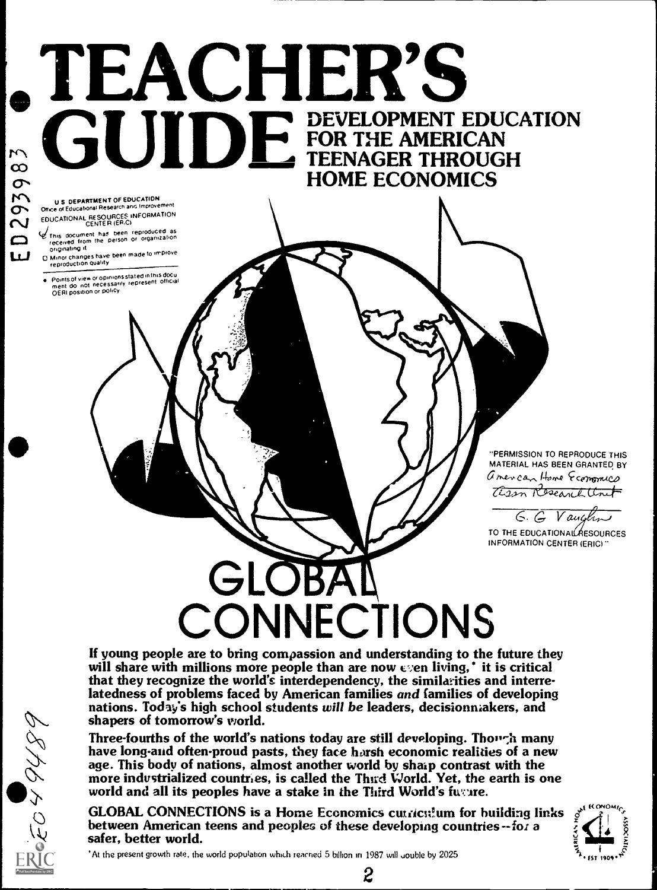# **SEACHER'S HOME ECONOMICS**

U S DEPARTMENT OF EDUCATION Office of Educational Research and Improvement EDUCATIONAL RESOURCES INFORMATION

0293983

 $\boldsymbol{\omega}$ 

- Inis document has been reproduced as<br>received from the person or organization originating it
- D. Minor changes have been made to improve<br>reproduction quality
- Pointsof view or opinions stated in this docu<br>ment do inot inecessarily represent lofficial<br>OERI position or policy

"PERMISSION TO REPRODUCE THIS MATERIAL HAS BEEN GRANTED BY american Home Economics Cisson Research Unit

G. G Vaugh

TO THE EDUCATIONAL RESOURCES **INFORMATION CENTER (ERIC)** 

# GLOBA CONNECTIONS

If young people are to bring compassion and understanding to the future they will share with millions more people than are now  $\epsilon$  en living,' it is critical that they recognize the world's interdependency, the similarities and interrelatedness of problems faced by American families and families of developing nations. Today's high school students will be leaders, decisionnakers, and shapers of tomorrow's world.

Three-fourths of the world's nations today are still developing. Though many have long-and often-proud pasts, they face harsh economic realities of a new age. This body of nations, almost another world by sharp contrast with the more industrialized countries, is called the Third World. Yet, the earth is one world and all its peoples have a stake in the Third World's future.

**GLOBAL CONNECTIONS is a Home Economics curriculum for building links** between American teens and peoples of these developing countries -- for a safer, better world.



At the present growth rate, the world population which reached 5 billion in 1987 will gouble by 2025

 $\boldsymbol{2}$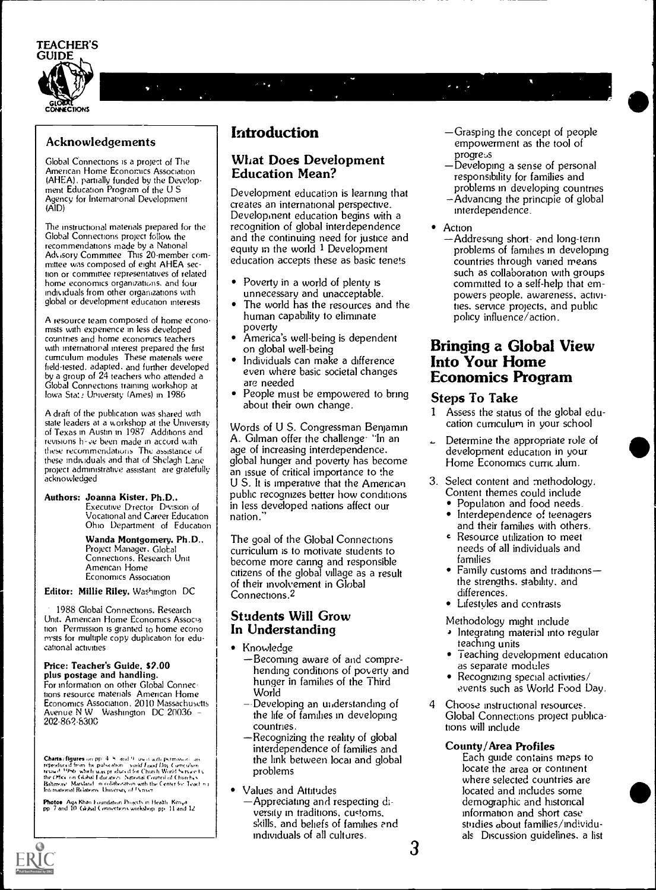

# $\mathbf{L}$

#### **Acknowledgements**

Global Connections is a project of The American Home Economics Association (AHEA), partially funded by the Development Education Program of the U.S. Agency for International Development (AID)

The instructional materials prepared for the Global Connections project follow the recommendations made by a National Advisory Committee This 20-member com-<br>mittee was composed of eight AHEA section or committee representatives of related home economics organizations, and four individuals from other organizations with global or development education interests

A resource team composed of home economists with experience in less developed countries and home economics teachers with international interest prepared the first curriculum modules These materials were<br>field-tested, adapted, and further developed by a group of 24 teachers who attended a Global Connections training workshop at lowa State University (Ames) in 1986

A draft of the publication was shared with state leaders at a workshop at the University<br>of Texas in Austin in 1987 Additions and revisions have been made in accord with these recommendations. The assistance of these individuals and that of Shelagh Lane project administrative assistant are gratefully acknowledged

#### Authors: Joanna Kister, Ph.D.. Executive D'rector Division of

Vocational and Career Education Ohio Department of Education

Wanda Montgomery. Ph.D., Project Manager, Global Connections. Research Unit American Home Economics Association

Editor: Millie Riley, Washington DC

1988 Global Connections. Research Unit. American Home Economics Associa tion Permission is granted to home econo mists for multiple copy duplication for educational activities

#### Price: Teacher's Guide, \$2.00 plus postage and handling.

For information on other Global Connections resource materials American Home Economics Association, 2010 Massachusetts Avenue N W Washington DC 20036<br>202-862-8300

**Charts) figures** on pp.  $4$ . S. and  $9$ , used with permosion, are reproduced from, the pulscation, solid Food Day Conceptuation reproduced by the Chart World Service Unit Because Charts (Service Unit Because Charts) the

**Photos:** Aga Khan Foundation Projects in Health, Kenya<br>pp. 7 and 10. Global Connections workshop, pp. 11 and 12.

#### **Introduction**

#### **What Does Development Education Mean?**

Development education is learning that creates an international perspective. Development education begins with a recognition of global interdependence and the continuing need for justice and<br>equity in the world  $1$  Development education accepts these as basic tenets

- Poverty in a world of plenty is  $\bullet$ unnecessary and unacceptable.
- The world has the resources and the human capability to eliminate poverty
- America's well-being is dependent on global well-being
- Individuals can make a difference even where basic societal changes are needed
- People must be empowered to bring about their own change.

Words of U.S. Congressman Benjamin A. Gilman offer the challenge<sup>.</sup> "In an age of increasing interdependence. global hunger and poverty has become an issue of critical importance to the U.S. It is imperative that the American public recognizes better how conditions in less developed nations affect our nation.

The goal of the Global Connections curriculum is to motivate students to become more caring and responsible citizens of the global village as a result of their involvement in Global Connections.<sup>2</sup>

#### **Students Will Grow** In Understanding

- Knowledge
	- -Becoming aware of and comprehending conditions of poverty and hunger in families of the Third World
	- $-$ Developing an understanding of the life of families in developing countries.
	- Recognizing the reality of global interdependence of families and the link between local and global problems
- **Values and Attitudes** 
	- -Appreciating and respecting diversity in traditions, customs, skills, and behefs of families and individuals of all cultures.
- -Grasping the concept of people empowerment as the tool of progress
- -Developing a sense of personal responsibility for families and problems in developing countries
- -Advancing the principle of global interdependence.
- Action
	- -Addressing short- and long-terinproblems of families in developing countries through vanied means such as collaboration with groups committed to a self-help that empowers people. awareness, activities, service projects, and public policy influence/action.

#### **Bringing a Global View Into Your Home Economics Program**

#### **Steps To Take**

- 1 Assess the status of the global education curriculum in your school
- Determine the appropriate role of development education in your Home Economics curriculum.
- 3. Select content and methodology. Content themes could include
	- Population and food needs.
	- Interdependence of teenagers and their families with others.
	- Resource utilization to meet needs of all individuals and families
	- Family customs and traditionsthe strengths, stability, and differences.
	- Lifestules and contrasts

Methodology might include

- Integrating material into regular teaching units
- Teaching development education as separate modules
- Recognizing special activities/ events such as World Food Day.
- Choose instructional resources. Global Connections project publications will include

#### **County/Area Profiles**

Each guide contains maps to locate the area or continent where selected countries are located and includes some demographic and historical information and short case studies about families/individuals Discussion guidelines. a list

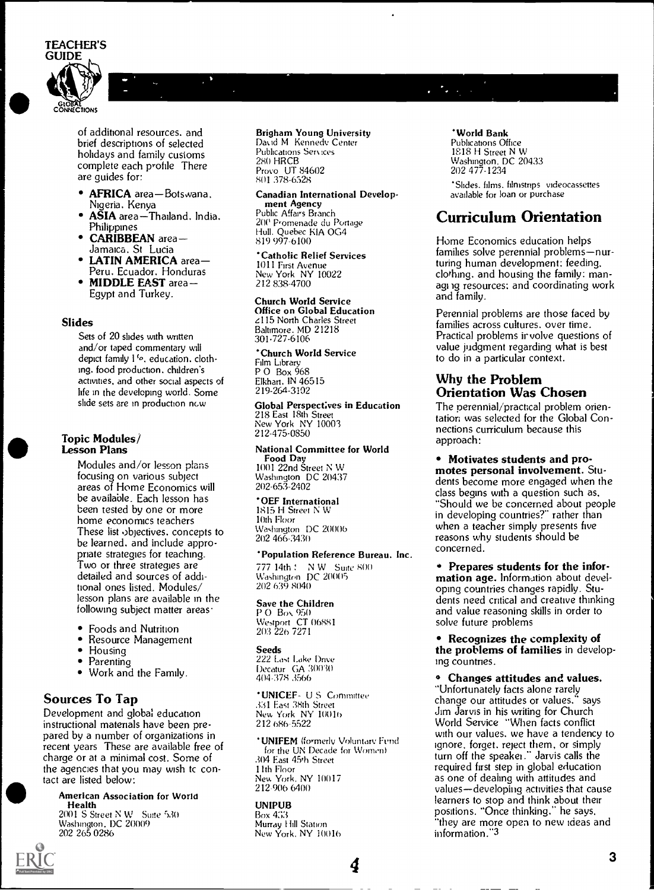

of additional resources, and brief descriptions of selected holidays and family customs complete each profile There are guides for:

- AFRICA area-Botswana. Nigeria. Kenya
- **ASIA** area-Thailand. India. Philippines
- CARIBBEAN area-Jamaica. St Lucia
- LATIN AMERICA area-Peru. Ecuador. Honduras
- MIDDLE EAST area-Egypt and Turkey.

#### Slides

Sets of 20 slides with written and/or taped commentary will depict family I'o, education, clothing. food production. children's activities, and other social aspects of life in the developing world. Some slide sets are in production new

### Topic Modules/ Lesson Plans

Modules and/or lesson plans focusing on various subject areas of Home Economics will be available. Each lesson has been tested by one or more home economics teachers These list objectives. concepts to be learned, and include appropriate strategies for teaching. Two or three strategies are detailed and sources of additional ones listed. Modules/ lesson plans are available in the following subject matter areas

- Foods and Nutrition
- $\bullet$ Resource Management
- Housing
- $\bullet$ Parenting
- Work and the Family.

#### Sources To Tap

Development and global education instructional materials have been prepared by a number of organizations in recent years These are available free of charge or at a minimal cost. Some of the agencies that you may wish to contact are listed below:

American Association for World Health

 $2001$  S Street N W Suite  $530$ Washington. DC 20009 202 265 0286

#### Brigham Young University David M. Kennedy Center Publications Services 28() FIRCB Provo UT 84602 801 378-6328

Canadian International Development Agency Public Affairs Branch 20(` Promenade du Portage Hull. Quebec KIA 0G4 819 997-6100

Catholic Relief Services 1011 First Avenue New York NY 10022 212 838-4700

Church World Service Office on Global Education 115 North Charles Street Baltimore. MD 21218 301.727-6106

Church World Service Film Library P 0 Box 968 Elkhart. IN 46515 219-264-3102

Global Perspectives in Education 218 East 18th Street New York NY 10003 212-475-0850

National Committee for World<br>Food Day **Committee for World**<br>**• Motivates students and pro-**Food Day 1001 22nd Street N W Washington DC 20437 202-653-2402

OEF International 1815 H Street N W 10th Floor Washington DC 20006 202 466-3430

Population Reference Bureau. Inc. 777 14th Suite 800 Washington DC 200(15 202 639 8040

Save the Children P O Box 950 Westport CT 06881 203 226 7271

Seeds 222 Last Lake Drive Decatur GA 30030 404-378 3566

'UNICEF- U S Committee 331 East 38th Street New York NY 10016 212 686-5:522

**UNIFEM** (formerly Voluntary Fund for the UN Decade for Women) 304 East 45th Street Ilth Floor New York, NY 10017<br>212-906 6400

4

UNIPUB Box 433 Murray Hill Station New York. NY 10016

#### World Bank

Publications Office 1E18 H Street N W Washington. DC 20433 202 477-1234

Slides. films. filmstrips videocassettes available for loan or purchase

#### Curriculum Orientation

Home Economics education helps families solve perennial problems-nurturing human development: feeding. clothing. and housing the family: managing resources: and coordinating work and family.

Perennial problems are those faced by families across cultures. over time. Practical problems irvolve questions of value judgment regarding what is best to do in a particular context.

#### Why the Problem Orientation Was Chosen

The perennial/practical problem orientation was selected for the Global Connections curriculum because this approach:

motes personal involvement. Students become more engaged when the class begins with a question such as. "Should we be concerned about people in developing countries?" rather than when a teacher simply presents five reasons why students should be concerned.

Prepares students for the infor- mation age. Information about developing countries changes rapidly. Students need critical and creative thinking and value reasoning skills in order to solve future problems

Recognizes the complexity of the problems of families in developing countries.

Changes attitudes and values. "Unfortunately facts alone rarely change our attitudes or values." says Jim Jarvis in his writing for Church World Service "When facts conflict with our values, we have a tendency to ignore. forget. reject them, or simply turn off the speaker." Jarvis calls the required first step in global education as one of dealing with attitudes and values-developing activities that cause learners to stop and think about their positions. "Once thinking." he says. "they are more open to new Ideas and information."3

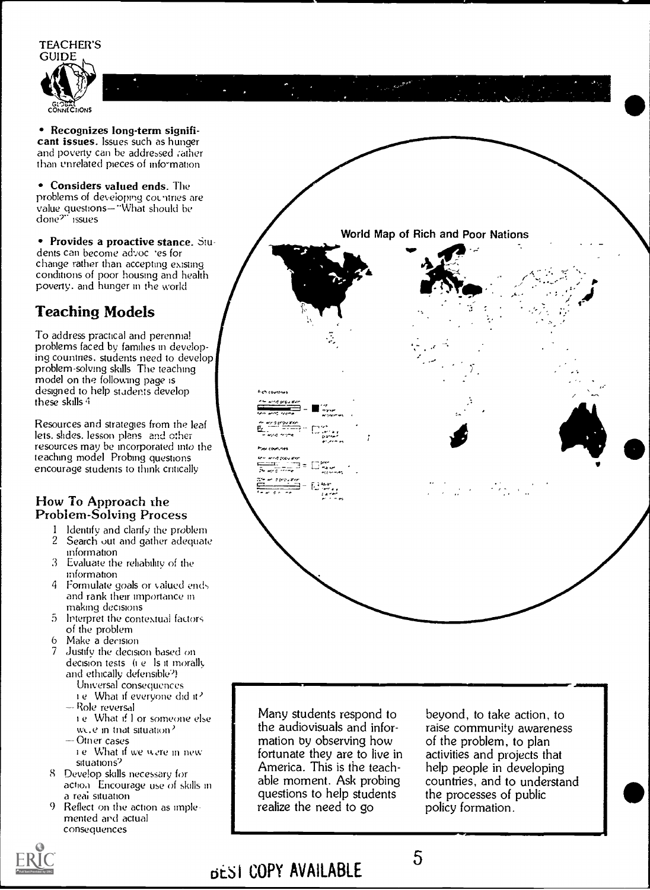

• Recognizes long-term significant issues. Issues such as hunger and poverty can be addressed rather than unrelated pieces of information

• Considers valued ends. The problems of developing countries are value questions—"What should be<br>done?" issues

• Provides a proactive stance. Students can become advoc res for change rather than accepting existing conditions of poor housing and health poverty, and hunger in the world

#### **Teaching Models**

To address practical and perennial problems faced by families in developing countries, students need to develop problem-solving skills. The teaching model on the following page is designed to help students develop these skills 4

Resources and strategies from the leaf lets. slides. lesson plans and other resources may be incorporated into the teaching model Probing questions encourage students to think critically

#### How To Approach the **Problem-Solving Process**

- Identify and clarify the problem  $\mathbf{f}$  $\overline{2}$ Search out and gather adequate information
- 3 Evaluate the reliability of the information
- 4 Formulate goals or valued ends and rank their importance in making decisions
- $5<sup>1</sup>$ Interpret the contextual factors of the problem
- Make a decision 6
- 7 Justify the decision based on decision tests (i.e. Is it morally and ethically defensible<sup>2</sup>)
	- Universal consequences i.e. What if everyone did it? - Role reversal
	- i.e. What if I or someone else wele in that situation?
	- -Otner cases
	- Le What if we were in new situations<sup>2</sup>
- 8 Develop skills necessary for action. Encourage use of skills in a real situation
- $\mathbf Q$ Reflect on the action as imple mented and actual consequences

Many students respond to the audiovisuals and information by observing how fortunate they are to live in America. This is the teachable moment. Ask probing questions to help students realize the need to go

beyond, to take action, to raise community awareness of the problem, to plan activities and projects that help people in developing countries, and to understand the processes of public policy formation.



DESI COPY AVAILABLE

## 5

World Map of Rich and Poor Nations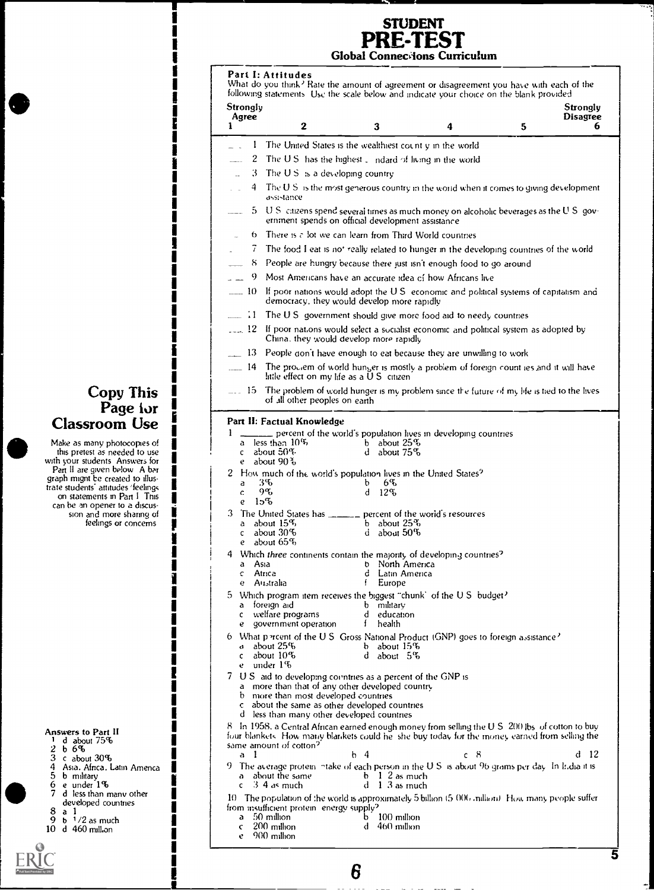#### **STUDENT** PREST Global Connecvions Curriculum

Part I: Attitudes What do you think<sup>2</sup> Rate the amount of agreement or disagreement you have with each of the following statements Use the scale below and indicate your choice on the blank provided **Strongly** Agree  $\begin{array}{ccc} 1 & 2 \end{array}$ <sup>1</sup> 2 3 4 **Strongly** Disagree

5 6 1 The United States is the wealthiest count y in the world 2 The U.S. has the highest indard of living in the world 3 The U S :s a developing country  $4$  The U S is the most generous country in the world when it comes to giving development assistance 5 U S citizens spend several times as much money on alcoholic beverages as the U S government spends on official development assistance  $6$  There is  $\epsilon$  lot we can learn from Third World countries 7 The food I eat is not really related to hunger in the developing countries of the world 8 People are hungry because there just isn't enough food to go around 9 Most Americans have an accurate idea of how Africans live 10 If poor nations would adopt the U S economic and political systems of capitalism and democracy. they would develop more rapidly  $\equiv$  1 The U S government should give more food aid to needy countries  $12$  If poor nations would select a socialist economic and political system as adopted by China. they would develop more rapidly 13 People don't have enough to eat because they are unwilling to work 14 The proviem of world hunger is mostly a problem of foreign count ies and it will have little effect on my life as a U S citizen 15 The problem of world hunger is my problem since the future of my life is tied to the lives of all other peoples on earth Part II: Factual Knowledge Classroom Use  $\begin{array}{c} \begin{array}{ccc} \bullet & \bullet & \bullet \\ \bullet & \bullet & \end{array} \end{array}$ 1. percent of the world's population lives in developing countries<br>han  $10\%$ a less than  $10\%$  b b c about 50% d c about 50% d about 75% e about  $90\frac{3}{6}$ 2 How much of the world's population lives in the United States<sup>2</sup><br>a 3% a 3% b 6% c  $9\%$  d  $12\%$ e 1D% 3 The United States has **percent of the world's resources**<br>a about  $15\%$ <br>b about  $25\%$ a about  $15\%$  b about  $25\%$ <br>c about  $30\%$  d about  $50\%$ c about 30% d about 50% e about 65% 4 Which three continents contain the majority of developing countries<sup>2</sup><br>a Asia b North America a Asia b Nonh America c Africa d Latin America e Australia f Europe 5 Which program item receives the biggest "chunk" of the U S budget?<br>a foreign aid b military foreign aid<br>
welfare programs<br>
d education c welfare programs deducation defined a different operation of the state of the state of the different control of the state of the state of the state of the state of the state of the state of the state of the state of the government operation 6 What percent of the U.S. Gross National Product (GNP) goes to foreign assistance?<br>a about  $25\%$  b about  $15\%$ d about 25% b about 15%<br>c about 10% d about 5% d about 5% under 1% 7 U S aid to developing countries as a percent of the GNP is a more than that of any other developed country<br>by more than most developed countries more than most developed countries about the same as other developed countries d less than many other developed countries 8 In 1958, a Central African earned enough money from selling the U S 200 lbs of cotton to buy four blankets How many blankets could he she buy today fur the money earned from selling the same amount of cotton?  $d$  12 a 1 h 4 c 8 The average protein  $\neg$  take of each person in the U.S. is about 96 grams per day. In It, dia it is a shout the same b 1-2 as much a about the same  $\begin{array}{ccc} \text{a} & \text{b} & \text{1} & \text{2} & \text{a} & \text{much} \\ \text{c} & \text{3} & \text{4} & \text{a} & \text{much} \\ \end{array}$  $\ddot{d}$  1 3 as much

10 The population of the world is approximately 5 billion (5.000) million). How many people suffer from insufficient protein energy supply?<br>a 50 million a 50 million b 100 million<br>c 200 million d 460 million

- 
- 
- 

6

- 
- $c = 200$  million e 900 million
- 
- developed countries<br>a  $\frac{1}{2}$  b  $\frac{1}{2}$  as much

d less than many other

Copy This Page for

Make as many photocopies of this pretest as needed to use with your students Answers for Part II are given below A bar graph mignt be created to illustrate students' attitudes 'feelings on statements in Part I This can be an opener to a discussion and more sharing of feelings or concerns

10 d 460 million

Answers to Part Ii

 $\overline{3}$  c about  $30\%$ <br>4 Asia, Africa, I.

<sup>1</sup> d about 75% 2 b 6%

4 Asia. Africa. Latin Amenca 5 b military 6 e under 1%

5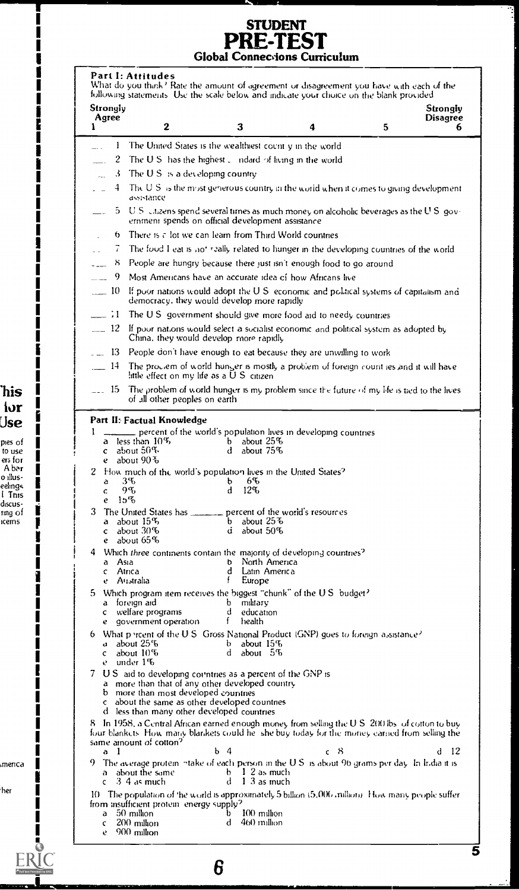# STUDENT<br>PRE-TEST<br>Global Connections Curriculum

ŕ.

| Strongly           | following statements. Use the scale below and indicate your choice on the blank provided                                                                                                                                    |                                                   |          |   | Strongly             |
|--------------------|-----------------------------------------------------------------------------------------------------------------------------------------------------------------------------------------------------------------------------|---------------------------------------------------|----------|---|----------------------|
| Agree<br>1         | 2                                                                                                                                                                                                                           | 3                                                 | 4        | 5 | <b>Disagree</b><br>6 |
| 1.                 | The United States is the wealthiest count y in the world                                                                                                                                                                    |                                                   |          |   |                      |
| 2                  | The U.S. has the highest $\Box$ indeed of living in the world                                                                                                                                                               |                                                   |          |   |                      |
| $\cdot$<br>i.      | The $US$ is a developing country                                                                                                                                                                                            |                                                   |          |   |                      |
| 4                  | The U.S. is the most generous country in the world when it comes to giving development.<br>assistance                                                                                                                       |                                                   |          |   |                      |
| 5.                 | U.S. citizens spend several times as much money on alcoholic beverages as the U.S. gov-<br>ernment spends on official development assistance                                                                                |                                                   |          |   |                      |
| 6.                 | There is $\tau$ fot we can learn from Third World countries                                                                                                                                                                 |                                                   |          |   |                      |
| 7.                 | The food I eat is not really related to hunger in the developing countries of the world                                                                                                                                     |                                                   |          |   |                      |
| 8<br>$\sim$        | People are hungry because there just isn't enough food to go around                                                                                                                                                         |                                                   |          |   |                      |
| 9<br>$\sim$        | Most Americans have an accurate idea of how Africans live                                                                                                                                                                   |                                                   |          |   |                      |
| $-10$              | If poor nations would adopt the U.S. economic and political systems of capitalism and<br>democracy, they would develop more rapidly                                                                                         |                                                   |          |   |                      |
| $=$ $\cdot$ 1      | The U.S. government should give more food aid to needy countries                                                                                                                                                            |                                                   |          |   |                      |
| $\equiv$ 12        | If poor nations would select a socialist economic and political system as adopted by<br>China, they would develop more rapidly                                                                                              |                                                   |          |   |                      |
| $-13$              | People don't have enough to eat because they are unwilling to work                                                                                                                                                          |                                                   |          |   |                      |
| -14                | The proclem of world hunger is mostly a problem of foreign count ies and it will have<br>little effect on my life as a $\overline{U}$ S citizen                                                                             |                                                   |          |   |                      |
| $-15$              | The problem of world hunger is my problem since the future of my life is tied to the lives<br>of all other peoples on earth                                                                                                 |                                                   |          |   |                      |
|                    | Part II: Factual Knowledge                                                                                                                                                                                                  |                                                   |          |   |                      |
| 1                  | percent of the world's population lives in developing countries<br>a less than $10\%$                                                                                                                                       | b about $25\%$                                    |          |   |                      |
| $\mathbf{C}$       | about 50%                                                                                                                                                                                                                   | $d$ about $75\%$                                  |          |   |                      |
| e                  | about 90 %                                                                                                                                                                                                                  |                                                   |          |   |                      |
| a                  | 2 How much of the world's population lives in the United States?<br>3%                                                                                                                                                      | 6%<br>b.                                          |          |   |                      |
| c.                 | 9%                                                                                                                                                                                                                          | $12\%$<br>d.                                      |          |   |                      |
| e                  | $15\%$<br>3 The United States has _______ percent of the world's resources                                                                                                                                                  |                                                   |          |   |                      |
|                    | a about 15%                                                                                                                                                                                                                 | b about $25\%$                                    |          |   |                      |
| $\mathbf{c}$       | about $30\%$<br>e about $65\%$                                                                                                                                                                                              | about $50\%$<br>d                                 |          |   |                      |
|                    | 4 Which three continents contain the majority of developing countries?                                                                                                                                                      |                                                   |          |   |                      |
| а<br>Asia          |                                                                                                                                                                                                                             | v<br>- North America                              |          |   |                      |
| c<br>e             | Atrica<br>Australia                                                                                                                                                                                                         | d<br>Latin America<br>f<br>Europe                 |          |   |                      |
| 5.                 | Which program item receives the biggest "chunk" of the U.S. budget?                                                                                                                                                         |                                                   |          |   |                      |
| a<br>c.            | foreign aid<br>welfare programs                                                                                                                                                                                             | b<br>military<br>d<br>education                   |          |   |                      |
| e                  | government operation                                                                                                                                                                                                        | f<br>health                                       |          |   |                      |
| 6                  | What percent of the U.S. Gross National Product (GNP) goes to foreign assistance?                                                                                                                                           |                                                   |          |   |                      |
| đ.<br>$\mathbf{C}$ | about 25%<br>about $10\%$                                                                                                                                                                                                   | about 15%<br>b.<br>d.<br>about 5%                 |          |   |                      |
| e.                 | under 1%                                                                                                                                                                                                                    |                                                   |          |   |                      |
| 7                  | U.S. and to developing countries as a percent of the GNP is                                                                                                                                                                 |                                                   |          |   |                      |
|                    | a more than that of any other developed country<br>b - more than most developed countries                                                                                                                                   |                                                   |          |   |                      |
|                    | about the same as other developed countries                                                                                                                                                                                 |                                                   |          |   |                      |
| $\mathbf{c}$       |                                                                                                                                                                                                                             |                                                   |          |   |                      |
|                    | d less than many other developed countries                                                                                                                                                                                  |                                                   |          |   |                      |
|                    | 8 In 1958, a Central African earned enough money from selling the U.S. 200 lbs. of cotton to buy<br>four blankets. How many blankets could he she buy today for the money earned from selling the<br>same amount of cotton? |                                                   |          |   |                      |
| a<br>-1            |                                                                                                                                                                                                                             | b 4                                               | -8<br>C. |   | -12<br>đ             |
| a.<br>Ċ            | 9. The average protein intake of each person in the U.S. is about 96 grams per day. In India it is<br>about the same<br>$3\,4$ as much                                                                                      | $b \quad 1 \quad 2$ as much<br>$1.3$ as much<br>đ |          |   |                      |
|                    | 10 The population of the world is approximately 5 billion (5,000) million). How many people suffer                                                                                                                          |                                                   |          |   |                      |
| a                  | from insufficient protein energy supply?<br>50 milion                                                                                                                                                                       | $100 \text{ million}$<br>b                        |          |   |                      |
| c<br>₽             | 200 milion<br>900 million                                                                                                                                                                                                   | đ<br>460 million                                  |          |   |                      |

#### `his for Use

I

I I

í

I

I

|<br>|<br>|<br>|

j ľ

I

I I

L

ľ I I

I I I I

pies of<br>to use<br>ers for<br>A ber<br>o illuseelings<br>1. This discus-<br>ring of<br>icerns

menca

her

г Г

I Ĩ I

 $ERIC$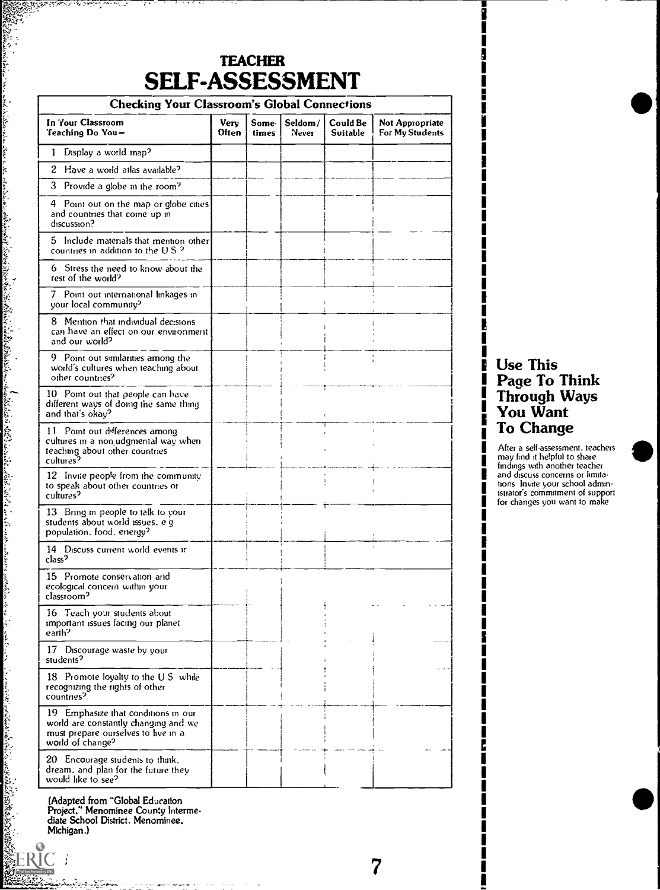| <b>SELF-ASSESSMENT</b><br><b>Checking Your Classroom's Global Connections</b>                                                          |               |                 |                  |                      |                                           |  |  |
|----------------------------------------------------------------------------------------------------------------------------------------|---------------|-----------------|------------------|----------------------|-------------------------------------------|--|--|
| In Your Classroom<br>Teaching Do You-                                                                                                  | Verv<br>Often | Some l<br>times | Seldom/<br>Never | Could Be<br>Suitable | <b>Not Appropriate</b><br>For My Students |  |  |
| Display a world map?<br>1.                                                                                                             |               |                 |                  |                      |                                           |  |  |
| 2<br>Have a world atlas available?                                                                                                     |               |                 |                  |                      |                                           |  |  |
| 3 Provide a globe in the room?                                                                                                         |               |                 |                  |                      |                                           |  |  |
| 4 Point out on the map or globe cities<br>and countries that come up in<br>discussion?                                                 |               |                 |                  |                      |                                           |  |  |
| 5 Include materials that mention other<br>countries in addition to the U.S. <sup>2</sup>                                               |               |                 |                  |                      |                                           |  |  |
| 6 Stress the need to know about the<br>rest of the world?                                                                              |               |                 |                  |                      |                                           |  |  |
| 7 Point out international linkages in<br>your local community?                                                                         |               |                 |                  |                      |                                           |  |  |
| 8 Mention that individual decisions<br>can have an effect on our environment<br>and our world?                                         |               |                 |                  |                      |                                           |  |  |
| 9 Point out similarities among the<br>world's cultures when teaching about<br>other countries?                                         |               |                 |                  |                      |                                           |  |  |
| 10 Point out that people can have<br>different ways of doing the same thing<br>and that's okay?                                        |               |                 |                  |                      |                                           |  |  |
| 11 Point out differences among<br>cultures in a nonjudgmental way when<br>teaching about other countries<br>cultures <sup>2</sup>      |               |                 |                  |                      |                                           |  |  |
| 12 Invite people from the community<br>to speak about other countries or<br>cultures <sup>2</sup>                                      |               |                 |                  |                      |                                           |  |  |
| 13 Bring in people to talk to your<br>students about world issues. e g<br>population. food. energy?                                    |               |                 |                  |                      |                                           |  |  |
| 14 Discuss current world events in<br>class'                                                                                           |               |                 |                  |                      |                                           |  |  |
| 15 Promote conservation and<br>ecological concern within your<br>classroom <sup>2</sup>                                                |               |                 |                  |                      |                                           |  |  |
| 16 Teach your students about<br>important issues facing our planet<br>earth <sup>2</sup>                                               |               |                 |                  |                      |                                           |  |  |
| 17 Discourage waste by your<br>students <sup>2</sup>                                                                                   |               |                 |                  |                      |                                           |  |  |
| 18 Promote loyalty to the U.S. while<br>recognizing the rights of other<br>countries <sup>2</sup>                                      |               |                 |                  |                      |                                           |  |  |
| 19 Emphasize that conditions in our<br>world are constantly changing and we<br>must prepare ourselves to live in a<br>world of change? |               |                 |                  |                      |                                           |  |  |
| 20 Encourage students to think,<br>dream, and plan for the future they<br>would like to see?                                           |               |                 |                  |                      |                                           |  |  |

7

(Adapted from "Global Education Project." Menominee County Intermediate School District. Menominee. Michigan.)

an di kacamatan kalendar di kacamatan di kacamatan di kacamatan di kacamatan di kacamatan di kacamatan di kaca<br>Kacamatan di kacamatan di kacamatan di kacamatan di kacamatan di kacamatan di kacamatan di kacamatan di kacama

ۣ

#### **I** .. I Use This I Page To Think **Through Ways** You Want **To Change**

i i statistik i statistik i statistik i statistik i statistik i statistik i statistik i statistik i statistik<br>I statistik i statistik i statistik i statistik i statistik i statistik i statistik i statistik i statistik i

 $\mathbf{I}$ i i statistik i statistik i statistik i statistik i statistik i statistik i statistik i statistik i statistik<br>I statistik i statistik i statistik i statistik i statistik i statistik i statistik i statistik i statistik i

i version in the second second in the second second second in the second second in the second second in  $\mathbf{I}$ 

I i i s I I **I** 

I i version and a series of the series of the series of the series of the series of the series of the series of <br>In the series of the series of the series of the series of the series of the series of the series of the serie

I **p** and the set I

After a self-assessment. teachers I may find it helpful to share findings with another teacher 1 and discuss concerns or limita-<br>In ons linvite your school administrator's commitment of support for changes you want to make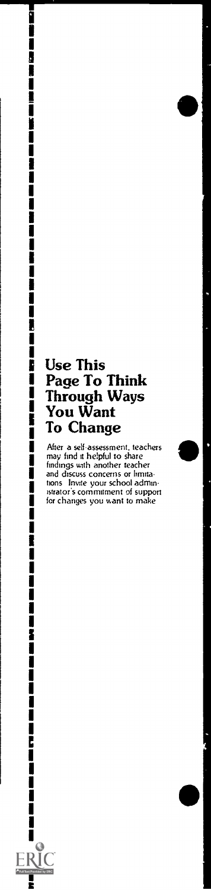#### **Use This** Page To Think Through Ways You Want To Change

i

i<br>I

i i ka mata

Ì

Í

i<br>I

I

ſ I ſ

Ī Ĩ,

1 Ĩ

ERIC **A**<br>Full Text Pro ided by ERIC E

After a self-assessment, teachers<br>may find it helpful to share<br>findings with another teacher and discuss concerns or limitations<br>tons Invite your school administrator's commitment of support<br>for changes you want to make

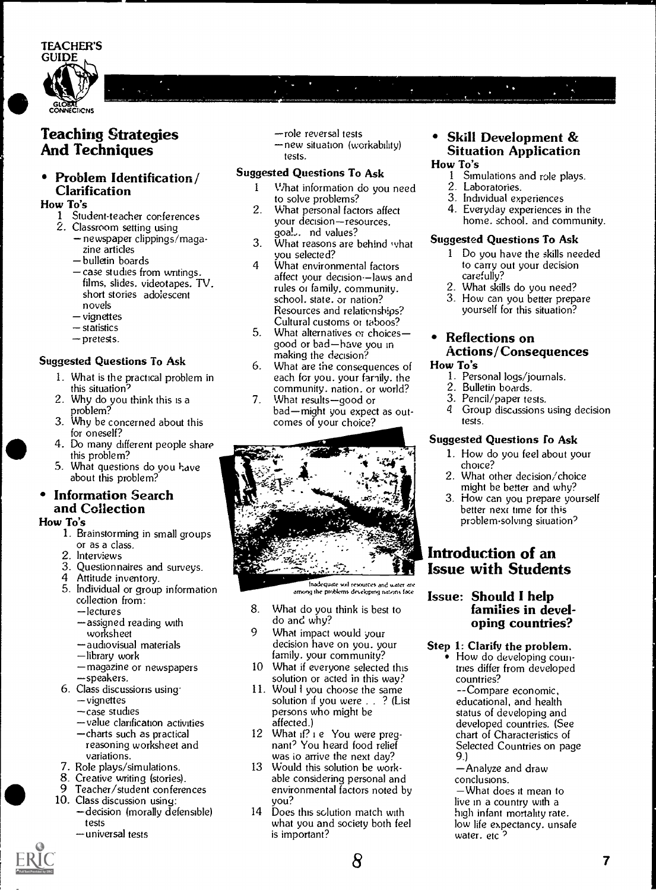

#### Teaching Strategies And Techniques

#### Problem Identification / Clarification

#### How To's

- 1 Student-teacher conferences
- 2. Classroom setting using
	- newspaper clippings/magazine articles
	- bulletin boards
	- case studies from writings. films, slides. videotapes. TV. short stories adolescent novels
	- vignettes
	- $-$ statistics
	- pretests.

#### Suggested Questions To Ask

- 1. What is the practical problem in this situation?
- 2. Why do you think this is a problem?
- 3. Why be concerned about this for oneself?
- 4. Do many different people share this problem?
- 5. What questions do you have about this problem?

#### $\bullet$ Information Search and Collection

#### How To's

- 1. Brainstorming in small groups or as a class.
- 2. Interviews
- 3. Questionnaires and surveys.
- 4 Attitude inventory.
- 5. Individual or group information collection from:
	- lectures
	- assigned reading with worksheet
	- -audiovisual materials
	- -library work
	- -magazine or newspapers speakers.
- 6. Class discussions using.
	- vignettes
	- -case studies
	- value clarification activities
	- charts such as practical
	- reasoning worksheet and variations.
- 7. Role plays/simulations.
- 8. Creative writing (stories).<br>9. Teacher/student.confere
- Teacher/student conferences
- 10. Class discussion using: -decision (morally defensible) tests
	- universal tests
- -role reversal tests
- -new situation (workability) tests.

#### Suggested Questions To Ask

- <sup>1</sup> What information do you need to solve problems?
- 2. What personal factors affect your decision-resources. goal.,. nd values?
- 3. What reasons are behind what  $\overline{\phantom{a}}$ you selected?
- 4 What environmental factors affect your decision--laws and rules Of family, community. school. state. or nation? Resources and relationships? Cultural customs or taboos?
- 5. What alternatives or choicesgood or bad-have you in making the decision?
- 6. What are the consequences of each for you. your family. the community, nation, or world?  $2.$ <br>What results nood or  $3.$
- 7. What results-good or bad-might you expect as outcomes of your choice?



Inadequate soil resources and water are<br>among the problems developing nations face  $\mathbf{r} =$ 

- 8. What do you think is best to do and why?
- 9 What impact would your decision have on you. your family. your community?
- 10 What if everyone selected this solution or acted in this way?
- 11. Woul I you choose the same solution if you were . . ? (List persons who might be affected.)
- 12 What if? i e You were pregnant? You heard food relief was io arrive the next day?
- 13 Would this solution be workable considering personal and environmental factors noted by you?
- 14 Does this solution match with what you and society both feel is important?

8

#### Skill Development & Situation Application

#### How To's<br> $1 \quad \text{Sm}$ Simulations and role plays.

- 2. Laboratories.
- 3. Individual experiences
- 4. Everyday experiences in the home. school. and community.

#### Suggested Questions To Ask

- <sup>1</sup> Do you have the skills needed to carry out your decision carefully?
- 2. What skills do you need?
- 3. How can you better prepare yourself for this situation?

#### Reflections on Actions / Consequences How To's

- 1. Personal logs/journals.
- 2. Bulletin boards.
- 3. Pencil/paper tests.<br>4. Group discussions
- Group discussions using decision tests.

#### Suggested Questions To Ask

- 1. How do you feel about your choice?
- 2. What other decision/ choice might be better and why?
- 3. How can you prepare yourself better next time for this problem-solving situation?

#### Introduction of an Issue with Students

#### Issue: Should I help families in developing countries?

#### Step 1: Clarify the problem.

How do developing countries differ from developed countries? --Compare economic, educational, and health status of developing and developed countries. (See chart of Characteristics of Selected Countries on page 9.)

Analyze and draw conclusions.

What does it mean to live in a country with a high infant mortality rate. low life expectancy. unsafe water. etc<sup>2</sup>

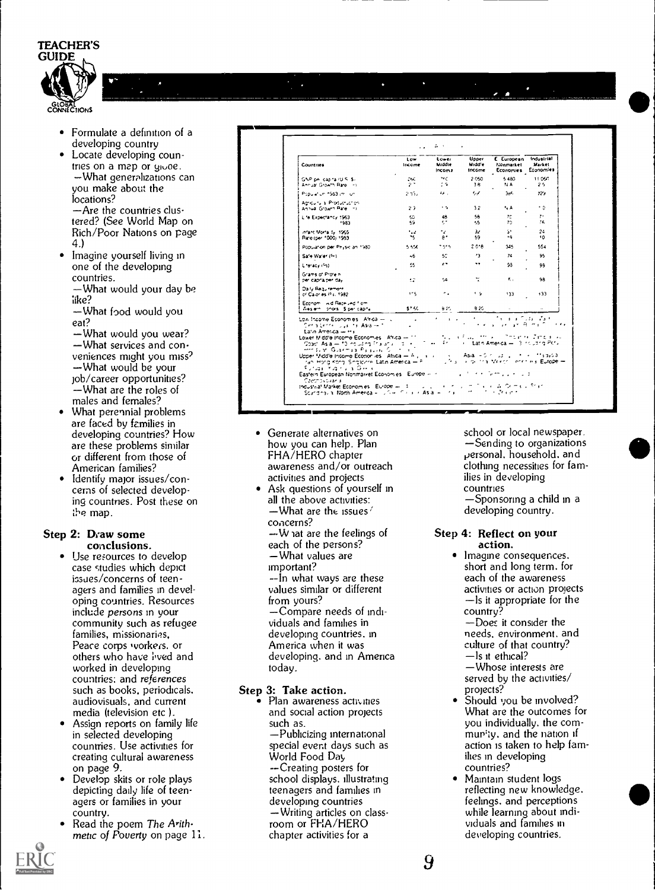

- Formulate a definition of a  $\bullet$ developing country
- Locate developing countries on a map or gioce. -What generalizations can you make about the locations? -Are the countries clustered? (See World Map on

Rich/Poor Nations on page 4.)

Imagine yourself living in one of the developing countries.

-What would your day be like?

-What food would you eat?

-What would you wear? -What services and conveniences might you miss? -What would be your job/career opportunities? -What are the roles of males and females?

- What perennial problems are faced by families in developing countries? How are these problems similar or different from those of American families?
- Identify major issues/concerns of selected developing countries. Post these on the map.

#### Step 2: Draw some conclusions.

- Use resources to develop case studies which depict issues/concerns of teenagers and families in developing countries. Resources include persons in your community such as refugee families, missionaries, Peace corps vorkers. or others who have lived and worked in developing countries: and references such as books, periodicals. audiovisuals, and current media (television etc).
- Assign reports on family life in selected developing countries. Use activities for creating cultural awareness on page 9.
- Develop skits or role plays depicting daily life of teenagers or families in your country.
- Read the poem The Arith. metic of Foverty on page 11.

| <b>Countries</b>                                                                                                                                                                                                                                                                                                                                                            | Low<br>Income                     | Lower<br>Middle<br>Incom I | <b>Upper</b><br>Midd'e<br>income | E European Industrial<br><b>Nonmarket</b><br>Economies Economies    | Market      |
|-----------------------------------------------------------------------------------------------------------------------------------------------------------------------------------------------------------------------------------------------------------------------------------------------------------------------------------------------------------------------------|-----------------------------------|----------------------------|----------------------------------|---------------------------------------------------------------------|-------------|
| GNP on capitalities St.<br>Annual Growth Rare II Ha                                                                                                                                                                                                                                                                                                                         | 25C .<br>$2^+$                    | ner i<br>÷.                | 2.050<br>36.                     | 5.480<br>NA.                                                        | 11060<br>25 |
| Population 1963 (m. luni                                                                                                                                                                                                                                                                                                                                                    | $2.33 - 1$                        | $\bullet$ .                | 57.                              | 366                                                                 | $729 -$     |
| Adriauru al Productuar en l<br>Aniva Growth Pare Inc.                                                                                                                                                                                                                                                                                                                       | $23 -$                            | $\sim 10$                  | 32                               | ۰, A                                                                | ۰٥          |
| Life Expectancy 1953<br>1983.                                                                                                                                                                                                                                                                                                                                               | 50.<br>59.                        | 48<br>k,                   | 58<br>۰. 5                       | 70<br>70                                                            | 7.<br>76.   |
| infant Morta 1v 1965<br>Paro (per 1000) 1983                                                                                                                                                                                                                                                                                                                                | tzz.<br>75.                       | $\cdot$ .<br>A *           | $\mathcal{U}$<br>59.             | St.<br>$\bullet$                                                    | 24<br>10    |
| Population per Physician 1980.                                                                                                                                                                                                                                                                                                                                              | 5.550                             | magnetic control           | 2.018                            | 345                                                                 | 554         |
| Safe Warer (fm)                                                                                                                                                                                                                                                                                                                                                             | 46.                               | 50                         | $^{\prime}$ 3                    | 74                                                                  | 95          |
| Lineracy (As)                                                                                                                                                                                                                                                                                                                                                               | 55                                | $\mathbf{r}$               | $\bullet$                        | 93                                                                  | 98          |
| Grams of Protein<br>per capra per day.                                                                                                                                                                                                                                                                                                                                      | 42.                               | 54.                        | ÷.                               | $\mathbf{r}_{\text{eff}}$                                           | ΛB.         |
| Daily Requirement<br>of Calories (%c) 1982.                                                                                                                                                                                                                                                                                                                                 | $1 - 5$                           | ۰.                         | t G.                             | 133                                                                 | 133         |
| Economic wid Received from<br>Weslern, prots. Sibericabile                                                                                                                                                                                                                                                                                                                  | 57.60                             | 8 M L                      | 8.20                             |                                                                     |             |
| Low Income Economies - Africa -- Luis<br>Ceratorri Justin Asales (1990)<br>Lato America - His                                                                                                                                                                                                                                                                               | <b>Contract Contract Contract</b> | <b>Contractor</b>          | <b>All Contracts</b>             | The and Coda of a fill<br>energy and are the main of the experience |             |
| Hot Garnis Pagua Contra Ti<br>Upper Middle Income Econoriles   Africa = Ali, in a link in Asia = 0 mills site in the inflatavial<br>ran Horg Kong Singsprie Latin America - P. C. Luchus, A. de this Mexico, Ienemieus Eutope -<br>Furlas invalous a Glenki<br>Eastern European Nonmarket Economies - Europe -- Product of the Summary of the Summary of<br>Czechovovak ali |                                   |                            |                                  |                                                                     |             |

- Generate alternatives on how you can help. Plan FHA/HERO chapter awareness and/or outreach activities and projects
- Ask questions of yourself in all the above activities:  $-$ What are the issues  $\ell$ concerns?  $-W$  at are the feelings of each of the persons? -What values are important? --In what ways are these values similar or different from yours? -Compare needs of individuals and families in developing countries, in America when it was developing, and in America today.

#### Step 3: Take action.

Plan awareness activities and social action projects such as. -Publicizing international special event days such as World Food Day -- Creating posters for school displays. illustrating teenagers and families in developing countries -Writing articles on classroom or FHA/HERO chapter activities for a

school or local newspaper. -Sending to organizations personal, household, and clothing necessities for families in developing countries —Sponsoring a child in a

developing country.

#### Step 4: Reflect on your action.

- Imagine consequences. short and long term. for each of the awareness activities or action projects -Is it appropriate for the country?
- -Does it consider the needs, environment, and culture of that country?  $-$  ls it ethical? -Whose interests are served by the activities/
- 
- projects?<br>Should you be involved? What are the outcomes for you individually, the community, and the nation if action is taken to help families in developing countries?
- Maintain student logs reflecting new knowledge. feelings, and perceptions while learning about individuals and families in developing countries.

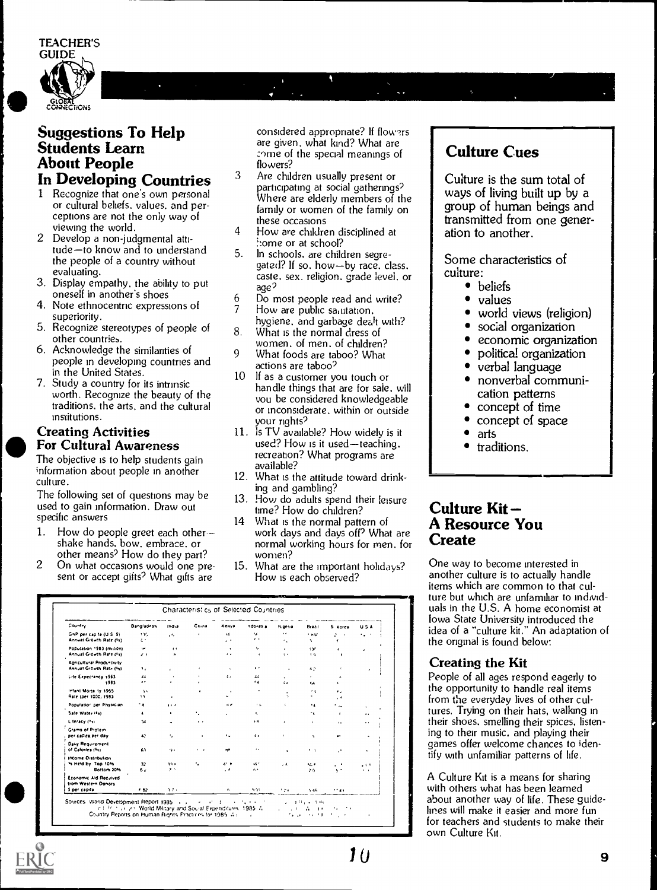TEACHER'S



### Suggestions To Help<br>Students Learn About People In Developing Countries <sup>3</sup>

- <sup>1</sup> Recognize that one's own personal or cultural beliefs, values, and perceptions are not the only way of viewing the world.
- 2 Develop a non-judgmental attitude-to know and to understand  $5$ . the people of a country without evaluating.
- 3. Display empathy, the ability to put oneself in another's shoes
- 4. Note ethnocentric expressions of superiority.
- 5. Recognize stereotypes of people of other countries.
- 6. Acknowledge the similarities of people in developing countries and in the United States.
- 7. Study a country for its intrinsic worth. Recognize the beauty of the traditions, the arts. and the cultural institutions.

# Creating Activities For Cultural Awareness

The objective is to help students gain information about people in another culture.

The following set of questions may be  $13$ used to gain information. Draw out specific answers

- 1. How do people greet each othershake hands, bow, embrace, or other means? How do they part?
- 2 On what occasions would one present or accept gifts? What gifts are

considered appropriate? If flow'rs are given, what kind? What are :ome of the special meanings of flowers?

- Are children usually present or participating at social gatherings? Where are elderly members of the family or women of the family on these occasions
- 4 How are children disciplined at home or at school?
- In schools, are children segregated? If so, how-by race, class, caste, sex. religion, grade level, or<br>age?
- age'? 6 Do most people read and write?
- How are public saintation. hygiene, and garbage dealt with?
- What is the normal dress of women, of men, of children?
- 9 What foods are taboo? What actions are taboo?
- 10 If as a customer you touch or handle things that are for sale, will you be considered knowledgeable or inconsiderate. within or outside your rights?
- 11. Is TV available? How widely is it used? How is it used-teaching, recreation? What programs are available?
- 12. What is the attitude toward drinking and gambling?
- How do adults spend their leisure time? How do children?
- 14 What is the normal pattern of work days and days off? What are normal working hours for men. for women?
- 15. What are the important holidays? How is each observed?

| Country                                                         | Bangladesh        | Ind.a                   | China                | Kenya                                    | ndones a                          | Nigeria                   | Brazil                  | S Korea              | USA                  |
|-----------------------------------------------------------------|-------------------|-------------------------|----------------------|------------------------------------------|-----------------------------------|---------------------------|-------------------------|----------------------|----------------------|
| GNP per capita (U.S. S).<br>Annual Growth Rate (%)              | 136.<br>るも        | $\mathbf{z}$            | $\ddot{\phantom{1}}$ | 44<br>. .                                | u.<br>$\epsilon$ $\sim$           | $\cdots$<br>٠.            | * HAT<br>5.             | ÷.<br>$\overline{1}$ | <b>ALC: Y</b>        |
| Population 1983 (million)<br>Annual Growth Rate (Fs)            | val.<br>$\lambda$ | 3.8<br>Ŕ.               |                      | ٠<br>$\mathbf{A}$                        | $\epsilon_{\rm eff}$<br>$\bullet$ | $\bullet$<br>$\mathbf{r}$ | 13 <sup>n</sup><br>E.G. | ٠<br>٠               | ٠                    |
| Apricultural Productivity<br>Annual Growth Rate (Nd)            | ٦.                | ×                       |                      | $\overline{a}$                           | $\cdot$ $\cdot$                   | ٠                         | 4.7                     |                      |                      |
| Life Expectancy 1963<br>1983                                    | 44<br>$\cdot$     | $\lambda$<br>$\epsilon$ |                      | 11                                       | 44<br>14                          | $\cdot$<br>64             | $\epsilon$<br>64        | ٠                    |                      |
| Infant Morta ty 1955<br>Rate (per 1000, 1983)                   | 5.4<br>13         | $\epsilon$              |                      | $\bullet$<br>M.                          |                                   | $\epsilon$<br>÷.          | 11                      | ٠.<br>٠.             |                      |
| Population per Physician                                        | - 4               | 1.1.4                   |                      | ĸИ                                       | 14                                | ×.                        | $\ddot{\phantom{1}}$    | $^+$ m               |                      |
| Sate Water (4s)                                                 | $\epsilon$        | $\blacksquare$          | ٠.                   |                                          | ĸ.                                |                           | ٠t                      | $\mathbf{r}$         | $\ddot{\phantom{a}}$ |
| Literacy (*x)                                                   | $\mathcal{M}$     |                         | $\cdots$             |                                          | нA                                | ٠                         | $\epsilon$              | $\bullet$            | $\cdots$             |
| Grams of Protein<br>per capita per day                          | 42                | $\mathbf{r}_{n}$        | ٠                    | ٠.                                       | 4.4                               | $\epsilon$                | $\alpha$                | $\mathbf{a}$         | $\hat{\phantom{a}}$  |
| Daily Requirement<br>of Calories (fa)                           | 63.               | 4.1                     | $\cdots$             | ŊВ.                                      | $\cdots$                          | $\ddot{\phantom{a}}$      | $\cdots$                | $\cdot$              | $\epsilon$           |
| <b>Income Distribution</b><br>In Held by Top 1014<br>Bottom 20% | 32<br>62          | $33 +$<br>$\rightarrow$ | ۰.                   | $\mathbf{A}^{\mathbf{r}}$ .<br>$\cdot$ . | w.<br>64                          | . A                       | 50 F<br>26              | . .<br>5.7           | .<br>$4 - 4$         |
| Economic Ald Recuived<br>from Western Donors<br>S per capital   | 682               | $3.7 +$                 |                      | 6                                        | 9.91                              | 124                       | 5.46                    | 17.41                |                      |

#### Culture Cues

Culture is the sum total of ways of living built up by a group of human beings and transmitted from one generation to another.

Some characteristics of culture:

- beliefs
- values
- world views (religion)
- social organization
- economic organization
- $\bullet$ political organization
- verbal language
- nonverbal communication patterns
- concept of time
- concept of space
- arts
- traditions.

#### Culture Kit A Resource You **Create**

One way to become interested in another culture is to actually handle items which are common to that culture but which are unfamiliar to individuals in the U.S. A home economist at Iowa State University introduced the idea of a "culture kit." An adaptation of the original is found below:

#### Creating the Kit

People of all ages respond eagerly to the opportunity to handle real items from the everyday lives of other cultures. Trying on their hats, walking in their shoes, smelling their spices, listening to their music, and playing their games offer welcome chances to identify with unfamiliar patterns of life.

A Culture Kit is a means for sharing with others what has been learned about another way of life. These guidelines will make it easier and more fun for teachers and students to make their own Culture Kit.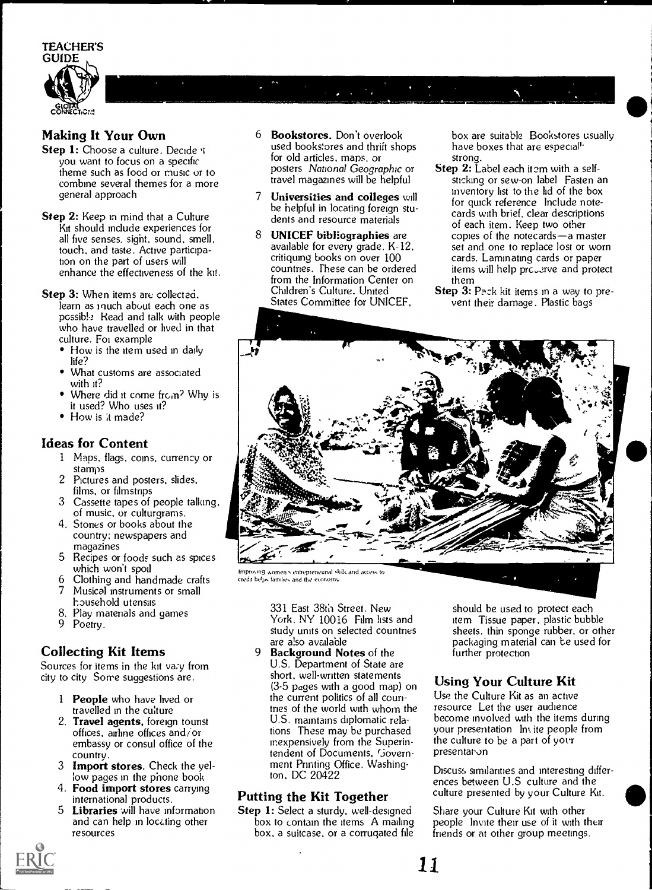TEACHER'S GUIDE GLOBAL \_\_\_\_\_ CONNECTICNS

#### Making It Your Own

- Step 1: Choose a culture. Decide it you want to focus on a specific theme such as food or music or to combine several themes for a more general approach
- **Step 2:** Keep in mind that a Culture Kit should include experiences for all five senses. sight, sound. smell, touch, and taste. Active participation on the part of users will enhance the effectiveness of the kit.
- Step 3: When items are collected. learn as much about each one as possib!.? Read and talk with people who have travelled or lived in that culture. Foi example
	- How is the item used in daily life?
	- What customs are associated with it?
	- Where did it come from? Why is it used? Who uses it?
	- How is it made?

#### Ideas for Content

- <sup>1</sup> Maps. flags, coins. currency or stamps
- 2 Pictures and posters. slides. films, or filmstrips
- 3 Cassette tapes of people talking, of music, or culturgrarns.
- 4. Stories or books about the country; newspapers and magazines
- 5 Recipes or foods such as spices which won't spoil
- 6 Clothing and handmade crafts
- Musical instruments or small household utensils
- 8. Play materials and games
- 9 Poetry.

#### Collecting Kit Items

Sources for items in the kit vary from city to city Some suggestions are.

- 1 **People** who have lived or travelled in the culture
- 2. Travel agents, foreign tounst offices, airline offices and/or embassy or consul office of the country.
- 3 Import stores. Check the yellow pages in the phone book
- 4. Food import stores carrying international products.
- 5 Libraries will have information and can help in locating other resources
- 6 Bookstores. Don't overlook used bookstores and thrift shops for old articles, maps, or posters National Geographic or travel magazines will be helpful
- <sup>7</sup> Universities and colleges will be helpful in locating foreign students and resource materials
- 8 UNICEF bibliographies are available for every grade. K-12, critiquing books on over 100 countries. These can be ordered from the Information Center on Children's Culture. United States Committee for UNICEF,

box are suitable Bookstores usually have boxes that are especial<sup>1</sup> strong.

- Step 2: Label each item with a selfsticking or sew-on label Fasten an inventory list to the lid of the box for quick reference Include notecards with brief, clear descriptions of each item. Keep two other copies of the notecards $-$ a master set and one to replace lost or worn cards. Laminating cards or paper items will help prc.,2rve and protect them
- Step 3: Pack kit items in a way to prevent their damage. Plastic bags



credit helps families and the economy

331 East 38th Street. New York, NY 10016 Film lists and study units on selected countries are a!so available

9 Background Notes of the U.S. Department of State are short, well-written statements (3-5 pages with a good map) on the current politics of all countries of the world with whom the U.S. maintains diplomatic relations These may be purchased inexpensively from the Superintendent of Documents, Govern ment Printing Office. Washington, DC 20422

#### Putting the Kit Together

Step 1: Select a sturdy, well-designed box to contain the items A mailing box, a suitcase, or a corrugated file should be used to protect each item Tissue paper. plastic bubble sheets. thin sponge rubber. or other packaging material can be used for further protection

#### Using Your Culture Kit

Use the Culture Kit as an active resource Let the user audience become involved with the items during your presentation Im ite people from the culture to be a part of your presentation

Discuss similarities and interesting differences between U.S culture and the culture presented by your Culture Kit.

Share your Culture Kit with other people Invite their use of it with their friends or at other group meetings.

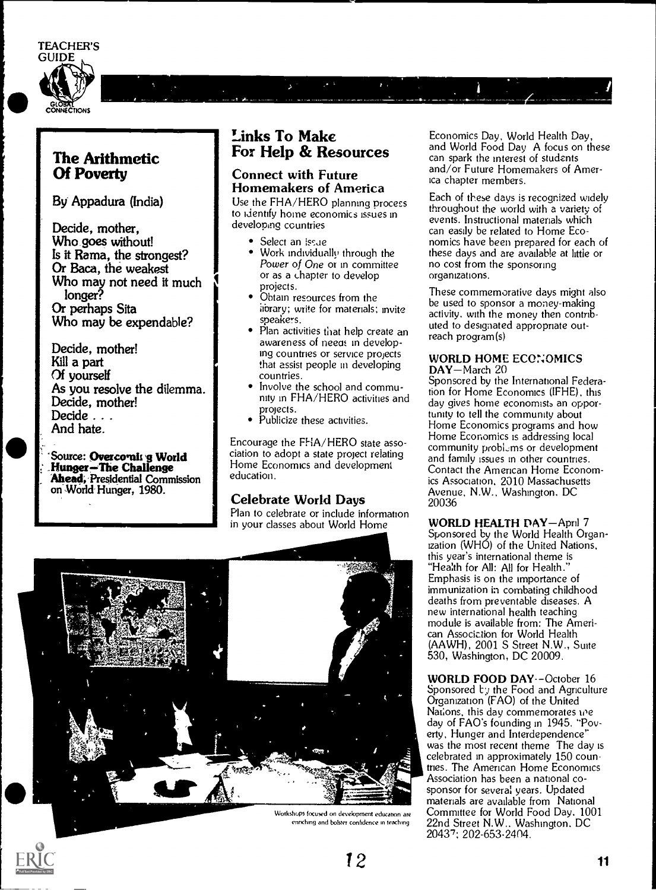#### TEACHER'S





By Appadura (India)

Decide, mother, Who goes without! Is it Rama, the strongest? Or Baca, the weakest Who may not need it much longer? Or perhaps Sita Who may be expendable?

Decide, mother! Kill a part Of yourself As you resolve the dilemma. Decide, mother! Decide . . . And hate.

`Source: Overco"nh g World HungerThe Challenge Ahead, Presidential Commission **Presidential** on World Hunger, 1980.

#### Links To Make For Help & Resources

 $\mathbf{r}$ .

 $\overline{\mathbf{r}}$ 

#### Connect with Future Homemakers of America

Use the FHA/HERO planning process to identify home economics issues in developing countries

- Select an issue
- Work individually through the  $\bullet$ Power of One or in committee or as a chapter to develop projects.
- Obtain resources from the library; write for materials; invite speakers.
- Plan activities that help create an awareness of neea: in developing countries or service projects that assist people in developing countries.
- Involve the school and community in FHA/HERO activities and projects.
- Publicize these activities.

Encourage the FHA/HERO state association to adopt a state project relating Home Economics and development education.

#### Celebrate World Days

Plan to celebrate or include information in your classes about World Home



Workshops focused on deselopment education are entrching and bolster confidence in teaching

Economics Day, World Health Day, and World Food Day A focus on these can spark the interest of students and/or Future Homemakers of America chapter members.

Each of these days is recognized widely throughout the world with a variety of events. Instructional materials which can easily be related to Home Economics have been prepared for each of these days and are available at little or no cost from the sponsoring organizations.

These commemorative days might also be used to sponsor a money-making activity, with the money then contributed to designated appropriate outreach program(s)

#### WORLD HOME ECONOMICS DAY-March 20

Sponsored by the International Federation for Home Economics (IFHE), this day gives home economists an opportunity to tell the community about Home Economics programs and how Home Economics is addressing local community problems or development and family issues in other countries. Contact the American Home Economics Association, 2010 Massachusetts Avenue, N.W., Washington. DC 20036

WORLD HEALTH DAY-April 7 Sponsored by the World Health Organization (WHO) of the United Nations, this year's international theme is "Health for All: All for Health." Emphasis is on the importance of immunization in combating childhood deaths from preventable diseases. A new international health teaching module is available from: The American Association for World Health (AAWH), 2001 S Street N.W., Suite 530, Washington, DC 20009.

WORLD FOOD DAY--October 16 Sponsored  $t$ ., the Food and Agriculture Organization (FAO) of the United Nations, this day commemorates we day of FAO's founding in 1945. "Poverty, Hunger and Interdependence" was the most recent theme The day is celebrated in approximately 150 countries. The American Home Economics Association has been a national cosponsor for several years. Updated materials are available from National Committee for World Food Day. 1001 22nd Street N.W.. Washington. DC 20437; 202-653-2404.